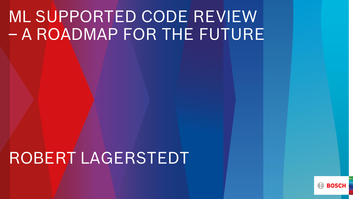# ML SUPPORTED CODE REVIEW – A ROADMAP FOR THE FUTURE

## ROBERT LAGERSTEDT

**BOSC**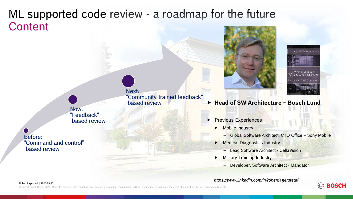### **Content** ML supported code review - a roadmap for the future

Now: "Feedback" -based review

Before: "Command and control" -based review

Next: "Community-trained feedback" -based review

Previous Experiences

**Mobile Industry** 

‒ Global Software Architect, CTO Office – Sony Mobile

Medical Diagnostics Industry

- Lead Software Architect - Cella Vision

**Head of SW Architecture – Bosch Lund**

Military Training Industry

‒ Developer, Software Architect - Mandator

*https://www.linkedin.com/in/robertlagerstedt/*







Robert Lagerstedt | 2020-09-25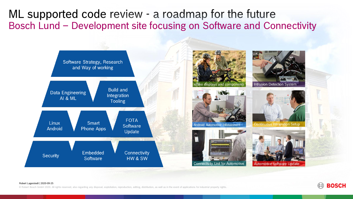ML supported code review - a roadmap for the future Bosch Lund – Development site focusing on Software and Connectivity



#### Robert Lagerstedt | 2020-09-25

© Robert Bosch GmbH 2020. All rights reserved, also regarding any disposal, exploitation, reproduction, editing, distribution, as well as in the event of applications for industrial property rights.

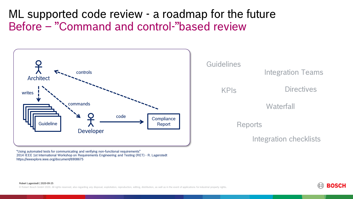## Before – "Command and control-"based review ML supported code review - a roadmap for the future



**Guidelines** KPIs Integration Teams Reports **Waterfall Directives** Integration checklists

"Using automated tests for communicating and verifying non-functional requirements" 2014 IEEE 1st International Workshop on Requirements Engineering and Testing (RET) - R. Lagerstedt https://ieeexplore.ieee.org/document/6908675

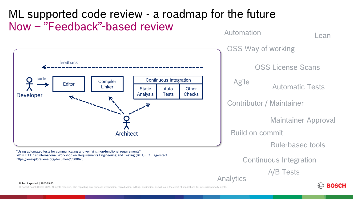

© Robert Bosch GmbH 2020. All rights reserved, also regarding any disposal, exploitation, reproduction, editing, distribution, as well as in the event of applications for industrial property rights.